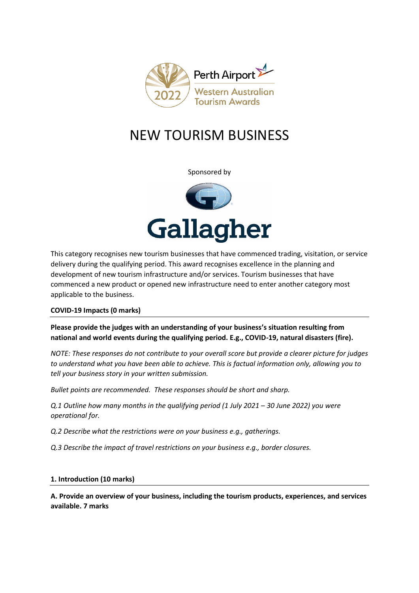

# NEW TOURISM BUSINESS

Sponsored by



This category recognises new tourism businesses that have commenced trading, visitation, or service delivery during the qualifying period. This award recognises excellence in the planning and development of new tourism infrastructure and/or services. Tourism businesses that have commenced a new product or opened new infrastructure need to enter another category most applicable to the business.

## **COVID-19 Impacts (0 marks)**

**Please provide the judges with an understanding of your business's situation resulting from national and world events during the qualifying period. E.g., COVID-19, natural disasters (fire).**

*NOTE: These responses do not contribute to your overall score but provide a clearer picture for judges to understand what you have been able to achieve. This is factual information only, allowing you to tell your business story in your written submission.* 

*Bullet points are recommended. These responses should be short and sharp.*

*Q.1 Outline how many months in the qualifying period (1 July 2021 – 30 June 2022) you were operational for.*

*Q.2 Describe what the restrictions were on your business e.g., gatherings.*

*Q.3 Describe the impact of travel restrictions on your business e.g., border closures.*

## **1. Introduction (10 marks)**

**A. Provide an overview of your business, including the tourism products, experiences, and services available. 7 marks**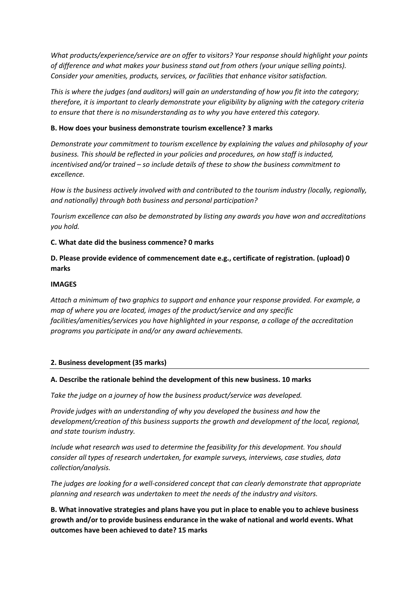*What products/experience/service are on offer to visitors? Your response should highlight your points of difference and what makes your business stand out from others (your unique selling points). Consider your amenities, products, services, or facilities that enhance visitor satisfaction.*

*This is where the judges (and auditors) will gain an understanding of how you fit into the category; therefore, it is important to clearly demonstrate your eligibility by aligning with the category criteria to ensure that there is no misunderstanding as to why you have entered this category.*

## **B. How does your business demonstrate tourism excellence? 3 marks**

*Demonstrate your commitment to tourism excellence by explaining the values and philosophy of your business. This should be reflected in your policies and procedures, on how staff is inducted, incentivised and/or trained – so include details of these to show the business commitment to excellence.*

*How is the business actively involved with and contributed to the tourism industry (locally, regionally, and nationally) through both business and personal participation?*

*Tourism excellence can also be demonstrated by listing any awards you have won and accreditations you hold.* 

## **C. What date did the business commence? 0 marks**

## **D. Please provide evidence of commencement date e.g., certificate of registration. (upload) 0 marks**

## **IMAGES**

*Attach a minimum of two graphics to support and enhance your response provided. For example, a map of where you are located, images of the product/service and any specific facilities/amenities/services you have highlighted in your response, a collage of the accreditation programs you participate in and/or any award achievements.* 

## **2. Business development (35 marks)**

## **A. Describe the rationale behind the development of this new business. 10 marks**

*Take the judge on a journey of how the business product/service was developed.*

*Provide judges with an understanding of why you developed the business and how the development/creation of this business supports the growth and development of the local, regional, and state tourism industry.*

*Include what research was used to determine the feasibility for this development. You should consider all types of research undertaken, for example surveys, interviews, case studies, data collection/analysis.* 

*The judges are looking for a well-considered concept that can clearly demonstrate that appropriate planning and research was undertaken to meet the needs of the industry and visitors.* 

**B. What innovative strategies and plans have you put in place to enable you to achieve business growth and/or to provide business endurance in the wake of national and world events. What outcomes have been achieved to date? 15 marks**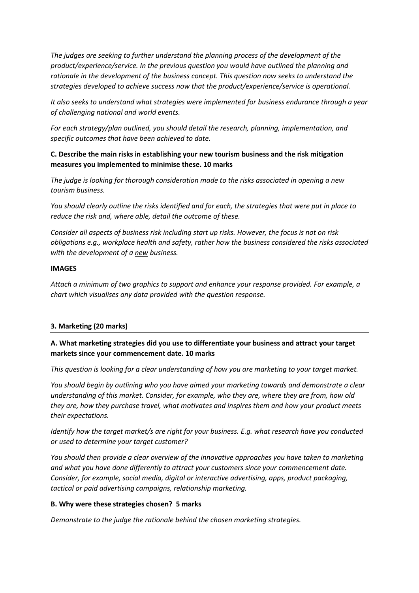*The judges are seeking to further understand the planning process of the development of the product/experience/service. In the previous question you would have outlined the planning and rationale in the development of the business concept. This question now seeks to understand the strategies developed to achieve success now that the product/experience/service is operational.* 

*It also seeks to understand what strategies were implemented for business endurance through a year of challenging national and world events.* 

*For each strategy/plan outlined, you should detail the research, planning, implementation, and specific outcomes that have been achieved to date.* 

## **C. Describe the main risks in establishing your new tourism business and the risk mitigation measures you implemented to minimise these. 10 marks**

*The judge is looking for thorough consideration made to the risks associated in opening a new tourism business.* 

*You should clearly outline the risks identified and for each, the strategies that were put in place to reduce the risk and, where able, detail the outcome of these.* 

*Consider all aspects of business risk including start up risks. However, the focus is not on risk obligations e.g., workplace health and safety, rather how the business considered the risks associated with the development of a new business.* 

## **IMAGES**

*Attach a minimum of two graphics to support and enhance your response provided. For example, a chart which visualises any data provided with the question response.* 

## **3. Marketing (20 marks)**

# **A. What marketing strategies did you use to differentiate your business and attract your target markets since your commencement date. 10 marks**

*This question is looking for a clear understanding of how you are marketing to your target market.* 

*You should begin by outlining who you have aimed your marketing towards and demonstrate a clear understanding of this market. Consider, for example, who they are, where they are from, how old they are, how they purchase travel, what motivates and inspires them and how your product meets their expectations.* 

*Identify how the target market/s are right for your business. E.g. what research have you conducted or used to determine your target customer?*

*You should then provide a clear overview of the innovative approaches you have taken to marketing and what you have done differently to attract your customers since your commencement date. Consider, for example, social media, digital or interactive advertising, apps, product packaging, tactical or paid advertising campaigns, relationship marketing.* 

## **B. Why were these strategies chosen? 5 marks**

*Demonstrate to the judge the rationale behind the chosen marketing strategies.*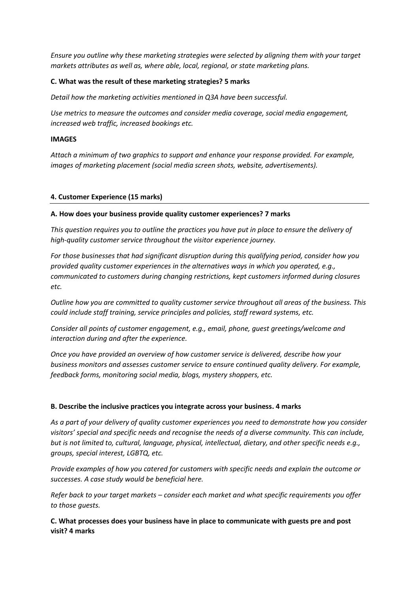*Ensure you outline why these marketing strategies were selected by aligning them with your target markets attributes as well as, where able, local, regional, or state marketing plans.* 

## **C. What was the result of these marketing strategies? 5 marks**

*Detail how the marketing activities mentioned in Q3A have been successful.* 

*Use metrics to measure the outcomes and consider media coverage, social media engagement, increased web traffic, increased bookings etc.* 

## **IMAGES**

*Attach a minimum of two graphics to support and enhance your response provided. For example, images of marketing placement (social media screen shots, website, advertisements).*

## **4. Customer Experience (15 marks)**

## **A. How does your business provide quality customer experiences? 7 marks**

*This question requires you to outline the practices you have put in place to ensure the delivery of high-quality customer service throughout the visitor experience journey.* 

*For those businesses that had significant disruption during this qualifying period, consider how you provided quality customer experiences in the alternatives ways in which you operated, e.g., communicated to customers during changing restrictions, kept customers informed during closures etc.* 

*Outline how you are committed to quality customer service throughout all areas of the business. This could include staff training, service principles and policies, staff reward systems, etc.* 

*Consider all points of customer engagement, e.g., email, phone, guest greetings/welcome and interaction during and after the experience.*

*Once you have provided an overview of how customer service is delivered, describe how your business monitors and assesses customer service to ensure continued quality delivery. For example, feedback forms, monitoring social media, blogs, mystery shoppers, etc.* 

## **B. Describe the inclusive practices you integrate across your business. 4 marks**

*As a part of your delivery of quality customer experiences you need to demonstrate how you consider visitors' special and specific needs and recognise the needs of a diverse community. This can include, but is not limited to, cultural, language, physical, intellectual, dietary, and other specific needs e.g., groups, special interest, LGBTQ, etc.*

*Provide examples of how you catered for customers with specific needs and explain the outcome or successes. A case study would be beneficial here.* 

*Refer back to your target markets – consider each market and what specific requirements you offer to those guests.*

**C. What processes does your business have in place to communicate with guests pre and post visit? 4 marks**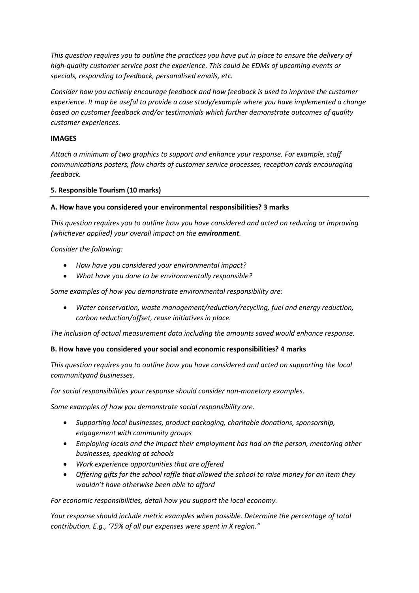*This question requires you to outline the practices you have put in place to ensure the delivery of high-quality customer service post the experience. This could be EDMs of upcoming events or specials, responding to feedback, personalised emails, etc.*

*Consider how you actively encourage feedback and how feedback is used to improve the customer experience. It may be useful to provide a case study/example where you have implemented a change based on customer feedback and/or testimonials which further demonstrate outcomes of quality customer experiences.* 

## **IMAGES**

*Attach a minimum of two graphics to support and enhance your response. For example, staff communications posters, flow charts of customer service processes, reception cards encouraging feedback.* 

## **5. Responsible Tourism (10 marks)**

## **A. How have you considered your environmental responsibilities? 3 marks**

*This question requires you to outline how you have considered and acted on reducing or improving (whichever applied) your overall impact on the environment.* 

#### *Consider the following:*

- *How have you considered your environmental impact?*
- *What have you done to be environmentally responsible?*

*Some examples of how you demonstrate environmental responsibility are:*

• *Water conservation, waste management/reduction/recycling, fuel and energy reduction, carbon reduction/offset, reuse initiatives in place.*

*The inclusion of actual measurement data including the amounts saved would enhance response.*

#### **B. How have you considered your social and economic responsibilities? 4 marks**

*This question requires you to outline how you have considered and acted on supporting the local communityand businesses.* 

*For social responsibilities your response should consider non-monetary examples.*

*Some examples of how you demonstrate social responsibility are.* 

- *Supporting local businesses, product packaging, charitable donations, sponsorship, engagement with community groups*
- *Employing locals and the impact their employment has had on the person, mentoring other businesses, speaking at schools*
- *Work experience opportunities that are offered*
- *Offering gifts for the school raffle that allowed the school to raise money for an item they wouldn't have otherwise been able to afford*

*For economic responsibilities, detail how you support the local economy.*

*Your response should include metric examples when possible. Determine the percentage of total contribution. E.g., '75% of all our expenses were spent in X region."*